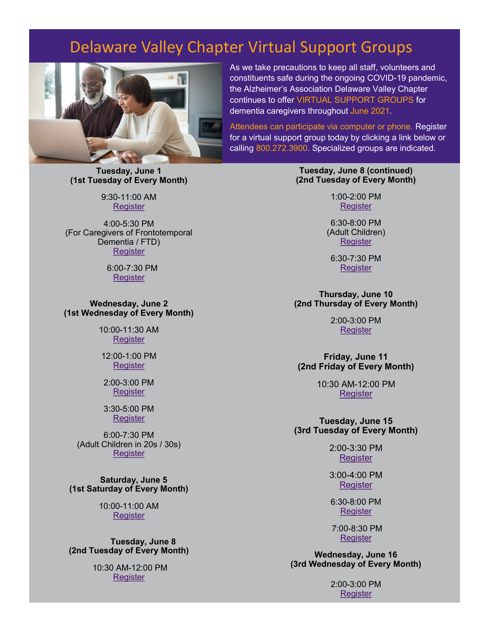# Delaware Valley Chapter Virtual Support Groups



**Tuesday, June 1 (1st Tuesday of Every Month)** 

> 9:30-11:00 AM [Register](https://action.alz.org/mtg/73290886)

4:00-5:30 PM (For Caregivers of Frontotemporal Dementia / FTD) **Register** 

> 6:00-7:30 PM **Register**

**Wednesday, June 2 (1st Wednesday of Every Month)** 

> 10:00-11:30 AM **Register**

12:00-1:00 PM **Register** 

2:00-3:00 PM **Register** 

3:30-5:00 PM **Register** 

6:00-7:30 PM (Adult Children in 20s / 30s) **Register** 

**Saturday, June 5 (1st Saturday of Every Month)** 

> 10:00-11:00 AM **Register**

**Tuesday, June 8 (2nd Tuesday of Every Month)** 

> 10:30 AM-12:00 PM **Register**

As we take precautions to keep all staff, volunteers and constituents safe during the ongoing COVID-19 pandemic, the Alzheimer's Association Delaware Valley Chapter continues to offer VIRTUAL SUPPORT GROUPS for dementia caregivers throughout June 2021.

Attendees can participate via computer or phone. Register for a virtual support group today by clicking a link below or calling 800.272.3900. Specialized groups are indicated.

> **Tuesday, June 8 (continued) (2nd Tuesday of Every Month)**

> > 1:00-2:00 PM [Register](https://action.alz.org/mtg/73291006)

6:30-8:00 PM (Adult Children) **[Register](https://action.alz.org/mtg/73290826)** 

6:30-7:30 PM [Register](https://action.alz.org/mtg/73172375)

**Thursday, June 10 (2nd Thursday of Every Month)** 

> 2:00-3:00 PM [Register](https://action.alz.org/mtg/73301364)

**Friday, June 11 (2nd Friday of Every Month)** 

> 10:30 AM-12:00 PM **Register**

**Tuesday, June 15 (3rd Tuesday of Every Month)** 

> 2:00-3:30 PM **Register**

3:00-4:00 PM **Register** 

6:30-8:00 PM [Register](https://action.alz.org/mtg/73301046) 

7:00-8:30 PM [Register](https://action.alz.org/mtg/73290758)

**Wednesday, June 16 (3rd Wednesday of Every Month)** 

> 2:00-3:00 PM [Register](https://action.alz.org/mtg/73156640)